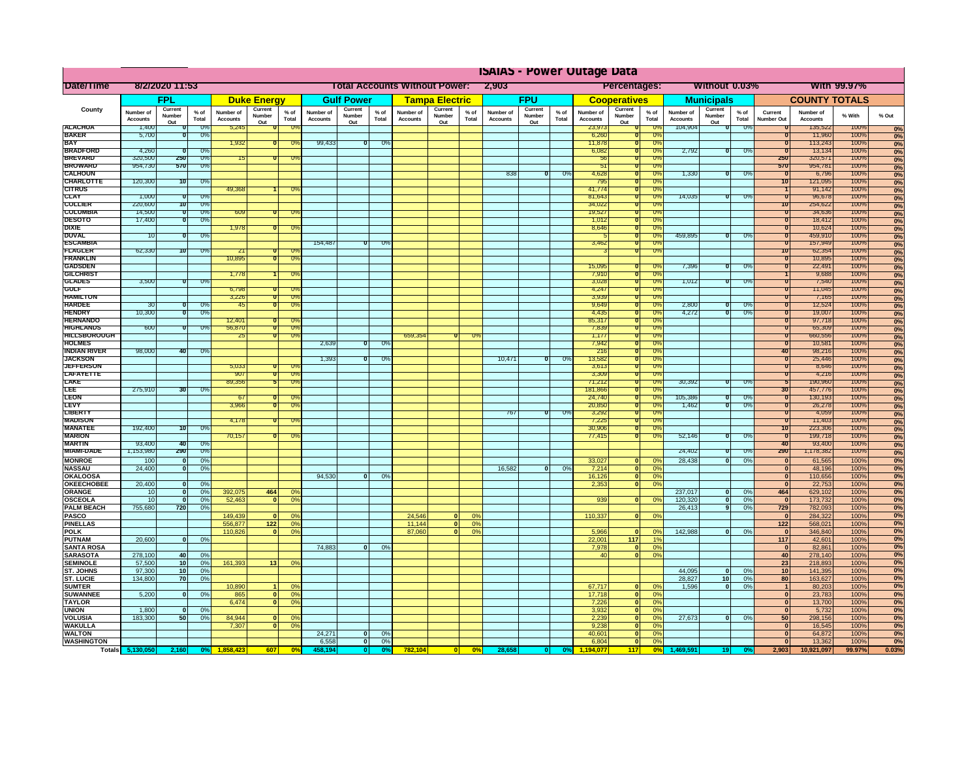|                                         | <b>ISAIAS - Power Outage Data</b> |                              |                      |                              |                                  |                                                                      |                              |                   |                |                              |                               |               |                              |                   |                      |                              |                                 |                        |                              |                         |                 |                                         |                              |              |                   |
|-----------------------------------------|-----------------------------------|------------------------------|----------------------|------------------------------|----------------------------------|----------------------------------------------------------------------|------------------------------|-------------------|----------------|------------------------------|-------------------------------|---------------|------------------------------|-------------------|----------------------|------------------------------|---------------------------------|------------------------|------------------------------|-------------------------|-----------------|-----------------------------------------|------------------------------|--------------|-------------------|
| Date/Time                               | 8/2/2020 11:53                    |                              |                      |                              |                                  | <b>Total Accounts Without Power:</b><br><b>Percentages:</b><br>2,903 |                              |                   |                |                              | Without 0.03%<br>With 99.97%  |               |                              |                   |                      |                              |                                 |                        |                              |                         |                 |                                         |                              |              |                   |
|                                         | FPL                               |                              | <b>Duke Energy</b>   |                              | <b>Gulf Power</b>                |                                                                      | <b>Tampa Electric</b>        |                   | <b>FPU</b>     |                              | <b>Cooperatives</b>           |               | <b>Municipals</b>            |                   | <b>COUNTY TOTALS</b> |                              |                                 |                        |                              |                         |                 |                                         |                              |              |                   |
| County                                  | Number of<br><b>Accounts</b>      | Current<br>Number            | $%$ of<br>Total      | Number of<br><b>Accounts</b> | Current<br>Number                | % of<br>Total                                                        | Number of<br><b>Accounts</b> | Current<br>Number | % of<br>Total  | Number of<br><b>Accounts</b> | Current<br>Number             | % of<br>Total | Number of<br><b>Accounts</b> | Current<br>Number | % of<br>Total        | Number of<br><b>Accounts</b> | Current<br>Number               | $%$ of<br>Total        | Number of<br><b>Accounts</b> | Current<br>Number       | $%$ of<br>Total | Current<br>Number Out                   | Number of<br><b>Accounts</b> | % With       | % Out             |
| <b>ALACHUA</b>                          | 1,400                             | Out                          | -0%                  | 5,245                        | Out                              | -09                                                                  |                              | Out               |                |                              | Out                           |               |                              | Out               |                      | 23,973                       | <u>Out</u>                      | <b>0%</b>              | 104,904                      | Out<br>Ō                | $0\%$           |                                         | 135,522                      | 100%         | 0%                |
| <b>BAKER</b><br><b>BAY</b>              | 5,700                             |                              | - 0%                 | 1,932                        |                                  | -Oʻ                                                                  | 99,433                       | Ō                 | -0%            |                              |                               |               |                              |                   |                      | 6,260<br>11,878              |                                 | -0%<br>0%              |                              |                         |                 |                                         | 11,960<br>113,243            | 100%<br>100% | 0%<br>0%          |
| <b>BRADFORD</b>                         | 4,260                             |                              | U,                   |                              |                                  |                                                                      |                              |                   |                |                              |                               |               |                              |                   |                      | 6,082                        |                                 | $\overline{0\%}$       | 2,792                        | π                       | ారా             |                                         | 13,134                       | 100%         | 0%                |
| <b>BREVARD</b><br><b>BROWARD</b>        | 320,500<br>954,730                | 250<br>570                   | 0%<br>0%             | 15                           |                                  | -Oʻ                                                                  |                              |                   |                |                              |                               |               |                              |                   |                      | 56<br>$\overline{5}$         |                                 | 0%<br>0%               |                              |                         |                 | 250<br>570                              | 320,571<br>954,781           | 100%<br>100% | 0%<br>0%          |
| <b><i>CALHOUN</i></b>                   |                                   |                              |                      |                              |                                  |                                                                      |                              |                   |                |                              |                               |               | 838                          |                   | $\mathbb{U}^{\circ}$ | 4,628                        |                                 | $\overline{U}$         | 1,330                        | $\overline{0}$          | U''             |                                         | 6,796                        | 100%         | 0%                |
| <b>CHARLOTTE</b><br><b>CITRUS</b>       | 120,300                           | 70                           | 0%                   | 49,368                       |                                  |                                                                      |                              |                   |                |                              |                               |               |                              |                   |                      | 795<br>41.774                |                                 | 0%<br>0%               |                              |                         |                 | 10                                      | 121,095<br>91,142            | 100%<br>100% | 0%<br>0%          |
| <b>CLAY</b>                             | 1,000                             |                              | U <sub>2</sub>       |                              |                                  |                                                                      |                              |                   |                |                              |                               |               |                              |                   |                      | 81,643                       |                                 | $U$ %                  | 14,035                       |                         | U'              | $\overline{u}$                          | 96,678                       | 100%         | 0%                |
| <b>COLLIER</b><br><b>COLUMBIA</b>       | 220,600<br>14,500                 | 10                           | 0%<br>0%             | 609                          |                                  | ᠊ᢆᢆᡴ                                                                 |                              |                   |                |                              |                               |               |                              |                   |                      | 34,022<br>19,527             | $\overline{0}$<br>π             | 0%<br>0%               |                              |                         |                 | 10<br>'n                                | 254,622<br>34,636            | 100%<br>100% | 0%<br>0%          |
| <b>DESOTO</b>                           | 17,400                            |                              | 0%                   |                              |                                  |                                                                      |                              |                   |                |                              |                               |               |                              |                   |                      | 1,012                        |                                 | 0%                     |                              |                         |                 | τ                                       | 18,412                       | 100%         | 0%                |
| DIXIE<br><b>DUVAL</b>                   | 10                                |                              | 0%                   | 1.978                        |                                  |                                                                      |                              |                   |                |                              |                               |               |                              |                   |                      | 8,646                        | 70                              | 0%<br>0%               | 459.895                      | ถ                       | -0%             | $\overline{0}$<br>τ                     | 10,624<br>459,910            | 100%<br>100% | 0%                |
| <b>ESCAMBI</b>                          |                                   |                              |                      |                              |                                  |                                                                      | 154,487                      | π                 | -0             |                              |                               |               |                              |                   |                      | 3,462                        |                                 | -0%                    |                              |                         |                 | τ                                       | 157,949                      | 100%         | 0%<br>0%          |
| <b>FLAGLER</b>                          | 62,330                            | 10                           | 0%                   | -21                          | Π                                | ᠊ᠠ                                                                   |                              |                   |                |                              |                               |               |                              |                   |                      |                              |                                 | 0%                     |                              |                         |                 | 10<br>- 11                              | 62,354                       | 100%         | 0%                |
| <b>FRANKLIN</b><br><b>GADSDEN</b>       |                                   |                              |                      | 10,895                       |                                  |                                                                      |                              |                   |                |                              |                               |               |                              |                   |                      | 15,095                       |                                 | -0%                    | 7,396                        | 0                       | - 0%            | n                                       | 10,895<br>22,491             | 100%<br>100% | 0%<br>0%          |
| <b>GILCHRIS</b>                         |                                   |                              |                      | 1,778                        |                                  | ᠊ᢆᢆᡴ                                                                 |                              |                   |                |                              |                               |               |                              |                   |                      | 7,910                        |                                 | 0%                     |                              |                         |                 |                                         | 9,688                        | 100%         | 0%                |
| <b>GLADES</b><br><b>GULF</b>            | 3,500                             |                              | $\overline{U}$       | 6,798                        |                                  |                                                                      |                              |                   |                |                              |                               |               |                              |                   |                      | 3,028<br>4,24                |                                 | $\overline{U\%}$<br>0% | 1,012                        |                         | $\overline{U}$  | 0                                       | 7,540<br>11,045              | 100%<br>100% | 0%<br>0%          |
| <b>HAMILTON</b>                         |                                   |                              |                      | 3,226                        | ᠊ᢐ                               | $\overline{0}$                                                       |                              |                   |                |                              |                               |               |                              |                   |                      | 3,939                        |                                 | 0%                     |                              |                         |                 | 0                                       | 7,165                        | 100%         | 0%                |
| <b>HARDEE</b><br><b>HENDRY</b>          | 30<br>10,300                      |                              | 0%<br>0%             | 45                           |                                  | $\overline{0}$                                                       |                              |                   |                |                              |                               |               |                              |                   |                      | 9,649<br>4,435               |                                 | 0%<br>$\overline{0}$   | 2,800<br>4,272               |                         | 0%<br>0%        | τ<br>0                                  | 12,524<br>19,007             | 100%<br>100% | 0%<br>0%          |
| <b>HERNANDO</b>                         |                                   |                              |                      | 12,401                       |                                  |                                                                      |                              |                   |                |                              |                               |               |                              |                   |                      | 85,317                       |                                 | $\overline{0}$         |                              |                         |                 | 0                                       | 97,718                       | 100%         | 0%                |
| <b>HIGHLANDS</b><br><b>HILLSBOROUGH</b> | 600                               |                              | 0%                   | 56,870<br>-25                | σ                                | -09<br>-0%                                                           |                              |                   |                | 659,354                      |                               |               |                              |                   |                      | 7,839<br>1,17                |                                 | 0%<br>0%               |                              |                         |                 | τ                                       | 65,309<br>660,556            | 100%<br>100% | 0%                |
| <b>HOLMES</b>                           |                                   |                              |                      |                              |                                  |                                                                      | 2,639                        | π                 | - UY           |                              |                               |               |                              |                   |                      | 7,942                        |                                 | $U\%$                  |                              |                         |                 |                                         | 10,581                       | 100%         | 0%<br>0%          |
| <b>INDIAN RIVER</b>                     | 98,000                            | 40                           | 0%                   |                              |                                  |                                                                      |                              |                   |                |                              |                               |               |                              |                   |                      | 216                          |                                 | 0%                     |                              |                         |                 | 40                                      | 98,216                       | 100%         | 0%                |
| <b>JACKSON</b><br><b>JEFFERSON</b>      |                                   |                              |                      | 5,033                        |                                  |                                                                      | 1,393                        | Ō                 | $0\%$          |                              |                               |               | 10,471                       | ण                 | -0%                  | 13,582<br>3,61               |                                 | 0%<br>$U\%$            |                              |                         |                 | π                                       | 25,446<br>8,646              | 100%<br>100% | 0%<br>0%          |
| <b>LAFAYETTE</b>                        |                                   |                              |                      | 907                          | n                                | $\overline{0}$                                                       |                              |                   |                |                              |                               |               |                              |                   |                      | 3,309                        |                                 | 0%                     |                              |                         |                 | n                                       | 4,216                        | 100%         | 0%                |
| <b>LAKE</b><br>ᄩ                        | 275,910                           | उर्ण                         | $\overline{U}$       | 89,356                       |                                  | ٦O                                                                   |                              |                   |                |                              |                               |               |                              |                   |                      | 71,212<br>181,866            |                                 | 0%<br>$\overline{U}$   | 30,392                       | ō                       | -0%             | 5<br>30                                 | 190,960<br>451, 176          | 100%<br>100% | 0%                |
| <b>LEON</b>                             |                                   |                              |                      | 67                           |                                  |                                                                      |                              |                   |                |                              |                               |               |                              |                   |                      | 24,740                       |                                 | 0%                     | 105,386                      | O                       | - 03            | $\overline{0}$                          | 130,193                      | 100%         | $\frac{0\%}{0\%}$ |
| <b>LEVY</b><br><b>LIBERTY</b>           |                                   |                              |                      | 3,966                        | $\overline{0}$                   | -09                                                                  |                              |                   |                |                              |                               |               | 767                          | ᠊ᢐ                | -0%                  | 20,850<br>3,292              |                                 | 0%<br>0%               | 1,462                        | $\overline{0}$          | 0%              | $\overline{0}$<br>$\overline{0}$        | 26,278<br>4,059              | 100%<br>100% | 0%                |
| <b>MADISON</b>                          |                                   |                              |                      | 4,178                        |                                  |                                                                      |                              |                   |                |                              |                               |               |                              |                   |                      | 7,225                        |                                 | 0%                     |                              |                         |                 | $\overline{0}$                          | 11,403                       | 100%         | 0%<br>0%          |
| <b>MANATEE</b><br>MARION                | 192,400                           | 10                           | 0%                   | 70,157                       |                                  |                                                                      |                              |                   |                |                              |                               |               |                              |                   |                      | 30,90<br>77,415              |                                 | 0%<br>0%               | 52,146                       | 70                      | -0%             | 10<br>70                                | 223,306<br>199,718           | 100%<br>100% | 0%                |
| <b>MARTIN</b>                           | 93,400                            | 40                           | 0                    |                              |                                  |                                                                      |                              |                   |                |                              |                               |               |                              |                   |                      |                              |                                 |                        |                              |                         |                 | 40                                      | 93,400                       | 100%         | 0%<br>0%          |
| <b>MIAMI-DADE</b>                       | 1,153,980                         | 290                          | <b>U</b> %           |                              |                                  |                                                                      |                              |                   |                |                              |                               |               |                              |                   |                      |                              |                                 |                        | 24,402                       | π                       | U۳              | 290                                     | 1,178,382                    | 100%         | 0%                |
| <b>MONROE</b><br><b>NASSAU</b>          | 100<br>24,400                     | $\Omega$<br>ol               | 0 <sup>9</sup><br>0% |                              |                                  |                                                                      |                              |                   |                |                              |                               |               | 16.582                       | $\overline{0}$    | 0%                   | 33,027<br>7,214              | $\Omega$<br>$\mathbf{0}$        | 0%<br>0%               | 28,438                       | $\mathbf{0}$            | 0%              | $\mathbf{0}$<br>$\overline{\mathbf{0}}$ | 61,565<br>48,196             | 100%<br>100% | 0%<br>0%          |
| <b>OKALOOSA</b>                         |                                   |                              |                      |                              |                                  |                                                                      | 94.530                       | $\mathbf{0}$      | 0%             |                              |                               |               |                              |                   |                      | 16,126                       | 0                               | 0%                     |                              |                         |                 | $\mathbf{0}$                            | 110,656                      | 100%         | 0%                |
| <b>OKEECHOBEE</b><br>ORANGE             | 20,400<br>10                      | $\mathbf{0}$<br>$\mathbf{0}$ | 0%<br>0%             | 392.075                      | 464                              | 0 <sup>9</sup>                                                       |                              |                   |                |                              |                               |               |                              |                   |                      | 2,353                        | $\overline{0}$                  | 0%                     | 237,017                      | $\overline{\mathbf{0}}$ | 0%              | $\mathbf{0}$<br>464                     | 22,753<br>629,102            | 100%<br>100% | 0%<br>0%          |
| OSCEOLA                                 | 10                                | $\mathbf{0}$                 | 0%                   | 52,463                       | 0                                | 0 <sup>9</sup>                                                       |                              |                   |                |                              |                               |               |                              |                   |                      | 939                          | ol                              | 0%                     | 120,320                      | $\mathbf{0}$            | 0%              | $\mathbf{0}$                            | 173,732                      | 100%         | 0%                |
| <b>PALM BEACH</b>                       | 755.680                           | 720                          | 0%                   |                              |                                  |                                                                      |                              |                   |                |                              |                               |               |                              |                   |                      |                              |                                 |                        | 26,413                       | 9 <sup>1</sup>          | 0%              | 729                                     | 782,093                      | 100%         | 0%                |
| <b>PASCO</b><br><b>PINELLAS</b>         |                                   |                              |                      | 149,439<br>556,877           | 0 <br>$\boxed{122}$              | 0 <sup>9</sup><br>0 <sup>9</sup>                                     |                              |                   |                | 24,546<br>11,144             | 0 <br>$\overline{\mathbf{0}}$ | 0%<br>0%      |                              |                   |                      | 110,337                      | $\mathbf{0}$                    | 0%                     |                              |                         |                 | $\bf{0}$<br>$122$                       | 284,322<br>568,021           | 100%<br>100% | 0%<br>0%          |
| <b>POLK</b>                             |                                   |                              |                      | 110,826                      | 0                                | 0 <sup>9</sup>                                                       |                              |                   |                | 87,060                       | $\overline{\mathbf{0}}$       | 0%            |                              |                   |                      | 5,966                        | $\mathbf{0}$                    | 0%                     | 142,988                      | 0                       | 0%              | $\mathbf{0}$                            | 346,840                      | 100%         | 0%                |
| <b>PUTNAM</b><br><b>SANTA ROSA</b>      | 20,600                            | 0                            | 0%                   |                              |                                  |                                                                      | 74,883                       | 0                 | 0%             |                              |                               |               |                              |                   |                      | 22,001<br>7,978              | $\frac{1}{117}$<br>$\mathbf{0}$ | 1%<br>0%               |                              |                         |                 | $117$<br>$\mathbf{0}$                   | 42,601<br>82,861             | 100%<br>100% | 0%<br>0%          |
| <b>SARASOTA</b>                         | 278,100                           | 40                           | 0%                   |                              |                                  |                                                                      |                              |                   |                |                              |                               |               |                              |                   |                      | 40                           | $\bullet$                       | 0%                     |                              |                         |                 | 40                                      | 278,140                      | 100%         | 0%                |
| <b>SEMINOLE</b>                         | 57,500                            | 10 <sup>1</sup>              | 0 <sup>9</sup>       | 161,393                      | 13                               | 0 <sup>9</sup>                                                       |                              |                   |                |                              |                               |               |                              |                   |                      |                              |                                 |                        |                              |                         |                 | 23                                      | 218,893                      | 100%         | 0%                |
| ST. JOHNS<br><b>ST. LUCIE</b>           | 97,300<br>134,800                 | 10 <sup>1</sup><br>70        | 0 <sup>9</sup><br>0% |                              |                                  |                                                                      |                              |                   |                |                              |                               |               |                              |                   |                      |                              |                                 |                        | 44,095<br>28,827             | $\mathbf{0}$<br>10      | 0%<br>0%        | 10<br>80                                | 141,395<br>163,627           | 100%<br>100% | 0%<br>0%          |
| <b>SUMTER</b>                           |                                   |                              |                      | 10,890                       |                                  | 0 <sup>9</sup>                                                       |                              |                   |                |                              |                               |               |                              |                   |                      | 67,717                       | $\mathbf{0}$                    | 0%                     | 1.596                        | 0                       | 0%              | $\overline{1}$                          | 80,203                       | 100%         | 0%                |
| <b>SUWANNEE</b><br><b>TAYLOR</b>        | 5,200                             | $\Omega$                     | 0%                   | 865<br>6,474                 | $\overline{0}$<br>$\overline{0}$ | 0 <sup>9</sup><br>0 <sup>9</sup>                                     |                              |                   |                |                              |                               |               |                              |                   |                      | 17,718<br>7,226              | $\mathbf{0}$<br> 0              | 0%<br>0%               |                              |                         |                 | $\mathbf{0}$<br>$\mathbf{0}$            | 23,783<br>13,700             | 100%<br>100% | 0%<br>0%          |
| <b>UNION</b>                            | 1,800                             |                              | 0%                   |                              |                                  |                                                                      |                              |                   |                |                              |                               |               |                              |                   |                      | 3,932                        | $\mathbf{0}$                    | 0%                     |                              |                         |                 | $\pmb{0}$                               | 5,732                        | 100%         | 0%                |
| <b>VOLUSIA</b><br><b>WAKULLA</b>        | 183,300                           | 50                           | 0%                   | 84.944<br>7.307              | 0 <br>$\overline{0}$             | 0 <sup>9</sup><br>0 <sup>9</sup>                                     |                              |                   |                |                              |                               |               |                              |                   |                      | 2,239<br>9,238               | ol<br>$\mathbf{0}$              | 0%<br>0%               | 27,673                       | $\overline{0}$          | 0%              | 50<br>$\mathbf{0}$                      | 298,156<br>16,545            | 100%<br>100% | 0%<br>0%          |
| <b>WALTON</b>                           |                                   |                              |                      |                              |                                  |                                                                      | 24,271                       | 0                 | 0%             |                              |                               |               |                              |                   |                      | 40,601                       | $\mathbf{0}$                    | 0%                     |                              |                         |                 | $\mathbf{0}$                            | 64,872                       | 100%         | 0%                |
| <b>WASHINGTON</b>                       |                                   |                              |                      |                              |                                  |                                                                      | 6,558                        | 0                 | 0%             |                              |                               |               |                              |                   |                      | 6,804                        | $\overline{0}$                  | 0%                     |                              |                         |                 | $\mathbf{0}$                            | 13,362                       | 100%         | 0%                |
|                                         | Totals 5,130,050                  | 2,160                        | 0%                   | 1858 423                     | 607                              | 0%                                                                   | 458.194                      | 0                 | 0 <sup>o</sup> | 782,104                      | 0                             | 0%            | 28,658                       | 0                 |                      | 1.194.077                    | 117                             | 0%                     | 1.469.591                    | 19                      |                 | 2,903                                   | 10,921,097                   | 99.97%       | 0.03%             |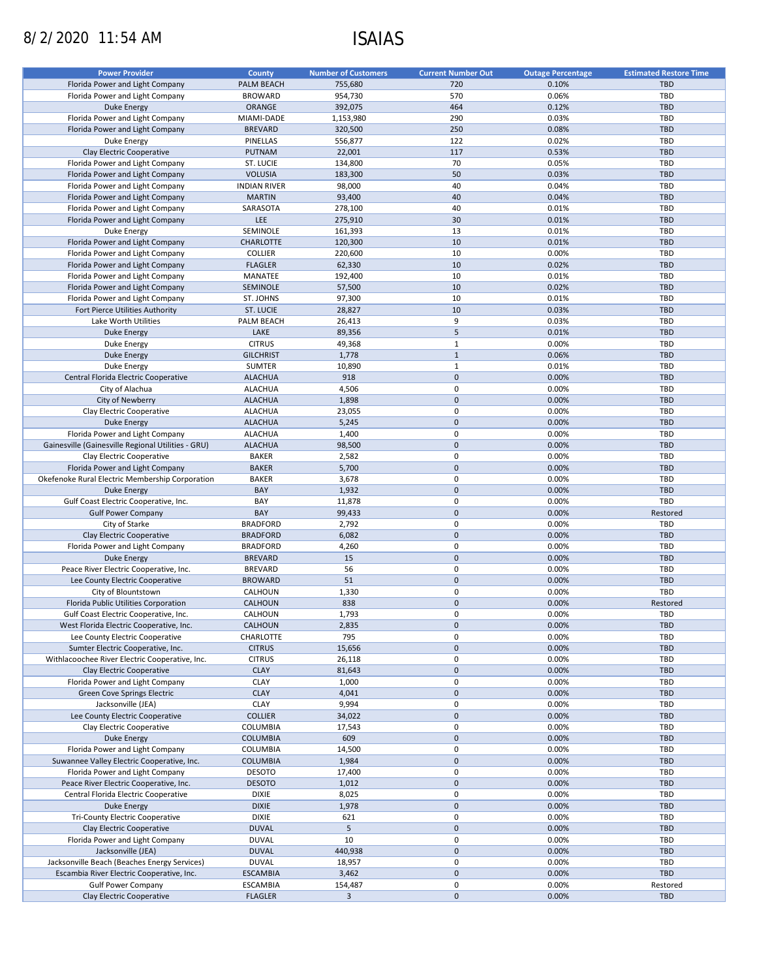# 8/2/2020 11:54 AM ISAIAS

| <b>Power Provider</b>                              | <b>County</b>       | <b>Number of Customers</b> | <b>Current Number Out</b> | <b>Outage Percentage</b> | <b>Estimated Restore Time</b> |
|----------------------------------------------------|---------------------|----------------------------|---------------------------|--------------------------|-------------------------------|
| Florida Power and Light Company                    | PALM BEACH          | 755,680                    | 720                       | 0.10%                    | <b>TBD</b>                    |
| Florida Power and Light Company                    | <b>BROWARD</b>      | 954,730                    | 570                       | 0.06%                    | TBD                           |
| Duke Energy                                        |                     |                            |                           |                          | <b>TBD</b>                    |
|                                                    | <b>ORANGE</b>       | 392,075                    | 464                       | 0.12%                    |                               |
| Florida Power and Light Company                    | MIAMI-DADE          | 1,153,980                  | 290                       | 0.03%                    | TBD                           |
| Florida Power and Light Company                    | <b>BREVARD</b>      | 320,500                    | 250                       | 0.08%                    | <b>TBD</b>                    |
| Duke Energy                                        | PINELLAS            | 556,877                    | 122                       | 0.02%                    | TBD                           |
| Clay Electric Cooperative                          | PUTNAM              | 22,001                     | 117                       | 0.53%                    | <b>TBD</b>                    |
| Florida Power and Light Company                    | ST. LUCIE           | 134,800                    | 70                        | 0.05%                    | TBD                           |
| Florida Power and Light Company                    | <b>VOLUSIA</b>      | 183,300                    | 50                        | 0.03%                    | <b>TBD</b>                    |
| Florida Power and Light Company                    | <b>INDIAN RIVER</b> | 98,000                     | 40                        | 0.04%                    | TBD                           |
| Florida Power and Light Company                    | <b>MARTIN</b>       | 93,400                     | 40                        | 0.04%                    | <b>TBD</b>                    |
| Florida Power and Light Company                    | SARASOTA            | 278,100                    | 40                        | 0.01%                    | TBD                           |
| Florida Power and Light Company                    | <b>LEE</b>          | 275,910                    | 30                        | 0.01%                    | <b>TBD</b>                    |
| Duke Energy                                        | SEMINOLE            | 161,393                    | 13                        | 0.01%                    | TBD                           |
|                                                    | <b>CHARLOTTE</b>    | 120,300                    | 10                        | 0.01%                    | <b>TBD</b>                    |
| Florida Power and Light Company                    |                     |                            |                           |                          |                               |
| Florida Power and Light Company                    | <b>COLLIER</b>      | 220,600                    | 10                        | 0.00%                    | TBD                           |
| Florida Power and Light Company                    | <b>FLAGLER</b>      | 62,330                     | 10                        | 0.02%                    | <b>TBD</b>                    |
| Florida Power and Light Company                    | MANATEE             | 192,400                    | 10                        | 0.01%                    | TBD                           |
| Florida Power and Light Company                    | SEMINOLE            | 57,500                     | 10                        | 0.02%                    | TBD                           |
| Florida Power and Light Company                    | ST. JOHNS           | 97,300                     | 10                        | 0.01%                    | TBD                           |
| Fort Pierce Utilities Authority                    | ST. LUCIE           | 28,827                     | 10                        | 0.03%                    | <b>TBD</b>                    |
| Lake Worth Utilities                               | PALM BEACH          | 26,413                     | 9                         | 0.03%                    | TBD                           |
| <b>Duke Energy</b>                                 | LAKE                | 89,356                     | $\sqrt{5}$                | 0.01%                    | <b>TBD</b>                    |
| Duke Energy                                        | <b>CITRUS</b>       | 49,368                     | $\mathbf{1}$              | 0.00%                    | TBD                           |
| <b>Duke Energy</b>                                 | <b>GILCHRIST</b>    | 1,778                      | $\mathbf{1}$              | 0.06%                    | <b>TBD</b>                    |
| <b>Duke Energy</b>                                 | <b>SUMTER</b>       |                            | $\mathbf 1$               | 0.01%                    | TBD                           |
|                                                    |                     | 10,890                     |                           |                          |                               |
| Central Florida Electric Cooperative               | <b>ALACHUA</b>      | 918                        | $\mathbf 0$               | 0.00%                    | <b>TBD</b>                    |
| City of Alachua                                    | <b>ALACHUA</b>      | 4,506                      | 0                         | 0.00%                    | TBD                           |
| City of Newberry                                   | <b>ALACHUA</b>      | 1,898                      | $\mathbf 0$               | 0.00%                    | <b>TBD</b>                    |
| Clay Electric Cooperative                          | <b>ALACHUA</b>      | 23,055                     | $\pmb{0}$                 | 0.00%                    | TBD                           |
| <b>Duke Energy</b>                                 | <b>ALACHUA</b>      | 5,245                      | $\mathbf 0$               | 0.00%                    | <b>TBD</b>                    |
| Florida Power and Light Company                    | <b>ALACHUA</b>      | 1,400                      | 0                         | 0.00%                    | TBD                           |
| Gainesville (Gainesville Regional Utilities - GRU) | <b>ALACHUA</b>      | 98,500                     | $\mathbf 0$               | 0.00%                    | <b>TBD</b>                    |
| Clay Electric Cooperative                          | <b>BAKER</b>        | 2,582                      | 0                         | 0.00%                    | TBD                           |
| Florida Power and Light Company                    | <b>BAKER</b>        | 5,700                      | $\mathbf 0$               | 0.00%                    | <b>TBD</b>                    |
| Okefenoke Rural Electric Membership Corporation    | <b>BAKER</b>        | 3,678                      | 0                         | 0.00%                    | TBD                           |
| Duke Energy                                        | BAY                 | 1,932                      | $\mathbf 0$               | 0.00%                    | <b>TBD</b>                    |
|                                                    |                     |                            |                           |                          |                               |
| Gulf Coast Electric Cooperative, Inc.              | BAY                 | 11,878                     | 0                         | 0.00%                    | TBD                           |
| <b>Gulf Power Company</b>                          | BAY                 | 99,433                     | $\mathbf 0$               | 0.00%                    | Restored                      |
| City of Starke                                     | <b>BRADFORD</b>     | 2,792                      | $\mathbf 0$               | 0.00%                    | TBD                           |
| Clay Electric Cooperative                          | <b>BRADFORD</b>     | 6,082                      | $\mathbf 0$               | 0.00%                    | <b>TBD</b>                    |
| Florida Power and Light Company                    | <b>BRADFORD</b>     | 4,260                      | $\pmb{0}$                 | 0.00%                    | TBD                           |
| <b>Duke Energy</b>                                 | <b>BREVARD</b>      | 15                         | $\mathbf 0$               | 0.00%                    | <b>TBD</b>                    |
| Peace River Electric Cooperative, Inc.             | <b>BREVARD</b>      | 56                         | 0                         | 0.00%                    | TBD                           |
| Lee County Electric Cooperative                    | <b>BROWARD</b>      | 51                         | $\mathbf 0$               | 0.00%                    | <b>TBD</b>                    |
| City of Blountstown                                | CALHOUN             | 1,330                      | 0                         | 0.00%                    | TBD                           |
| Florida Public Utilities Corporation               | CALHOUN             | 838                        | $\mathbf 0$               | 0.00%                    | Restored                      |
| Gulf Coast Electric Cooperative, Inc.              | CALHOUN             | 1,793                      | $\mathbf 0$               | 0.00%                    | TBD                           |
|                                                    | CALHOUN             |                            | $\mathbf 0$               |                          | TBD                           |
| West Florida Electric Cooperative, Inc.            |                     | 2,835                      |                           | 0.00%                    |                               |
| Lee County Electric Cooperative                    | CHARLOTTE           | 795                        | 0                         | 0.00%                    | TBD                           |
| Sumter Electric Cooperative, Inc.                  | <b>CITRUS</b>       | 15,656                     | $\mathbf 0$               | 0.00%                    | <b>TBD</b>                    |
| Withlacoochee River Electric Cooperative, Inc.     | <b>CITRUS</b>       | 26,118                     | 0                         | 0.00%                    | TBD                           |
| Clay Electric Cooperative                          | <b>CLAY</b>         | 81,643                     | $\mathbf 0$               | 0.00%                    | TBD                           |
| Florida Power and Light Company                    | <b>CLAY</b>         | 1,000                      | 0                         | 0.00%                    | TBD                           |
| Green Cove Springs Electric                        | <b>CLAY</b>         | 4,041                      | $\mathbf 0$               | 0.00%                    | <b>TBD</b>                    |
| Jacksonville (JEA)                                 | CLAY                | 9,994                      | 0                         | 0.00%                    | TBD                           |
| Lee County Electric Cooperative                    | <b>COLLIER</b>      | 34,022                     | $\mathbf 0$               | 0.00%                    | <b>TBD</b>                    |
| Clay Electric Cooperative                          | COLUMBIA            | 17,543                     | 0                         | 0.00%                    | TBD                           |
| Duke Energy                                        | <b>COLUMBIA</b>     | 609                        | $\pmb{0}$                 | 0.00%                    | <b>TBD</b>                    |
|                                                    |                     |                            | 0                         | 0.00%                    |                               |
| Florida Power and Light Company                    | COLUMBIA            | 14,500                     |                           |                          | TBD<br><b>TBD</b>             |
| Suwannee Valley Electric Cooperative, Inc.         | <b>COLUMBIA</b>     | 1,984                      | $\mathbf 0$               | 0.00%                    |                               |
| Florida Power and Light Company                    | <b>DESOTO</b>       | 17,400                     | 0                         | 0.00%                    | TBD                           |
| Peace River Electric Cooperative, Inc.             | <b>DESOTO</b>       | 1,012                      | $\mathbf 0$               | 0.00%                    | <b>TBD</b>                    |
| Central Florida Electric Cooperative               | <b>DIXIE</b>        | 8,025                      | 0                         | 0.00%                    | TBD                           |
| Duke Energy                                        | <b>DIXIE</b>        | 1,978                      | $\pmb{0}$                 | 0.00%                    | TBD                           |
| Tri-County Electric Cooperative                    | <b>DIXIE</b>        | 621                        | 0                         | 0.00%                    | TBD                           |
| Clay Electric Cooperative                          | <b>DUVAL</b>        | 5                          | $\pmb{0}$                 | 0.00%                    | TBD                           |
| Florida Power and Light Company                    | <b>DUVAL</b>        | 10                         | 0                         | 0.00%                    | TBD                           |
| Jacksonville (JEA)                                 | <b>DUVAL</b>        | 440,938                    | $\mathbf 0$               | 0.00%                    | TBD                           |
| Jacksonville Beach (Beaches Energy Services)       | <b>DUVAL</b>        | 18,957                     | 0                         | 0.00%                    | TBD                           |
| Escambia River Electric Cooperative, Inc.          | <b>ESCAMBIA</b>     | 3,462                      | $\pmb{0}$                 | 0.00%                    | TBD                           |
|                                                    |                     |                            |                           |                          |                               |
| <b>Gulf Power Company</b>                          | <b>ESCAMBIA</b>     | 154,487                    | 0                         | 0.00%                    | Restored                      |
| Clay Electric Cooperative                          | <b>FLAGLER</b>      | $\overline{\mathbf{3}}$    | $\mathbf 0$               | 0.00%                    | TBD                           |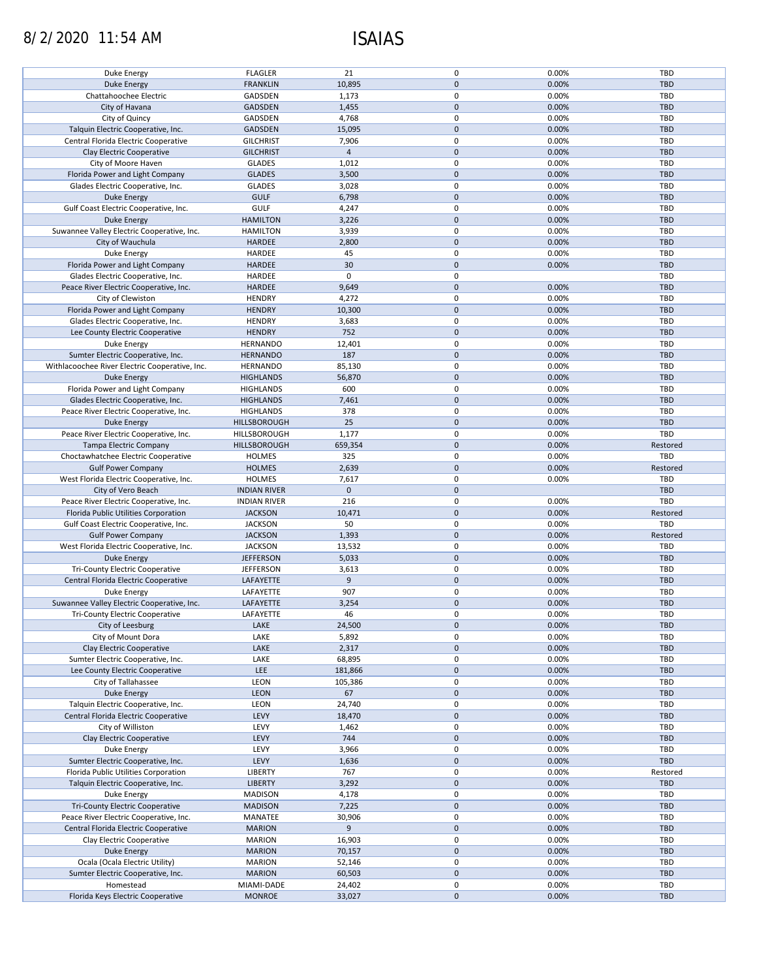# 8/2/2020 11:54 AM ISAIAS

| Duke Energy                                    | <b>FLAGLER</b>      | 21             | 0            | 0.00% | <b>TBD</b> |
|------------------------------------------------|---------------------|----------------|--------------|-------|------------|
| <b>Duke Energy</b>                             | <b>FRANKLIN</b>     | 10,895         | $\mathbf 0$  | 0.00% | <b>TBD</b> |
|                                                |                     |                |              |       |            |
| Chattahoochee Electric                         | GADSDEN             | 1,173          | 0            | 0.00% | TBD        |
| City of Havana                                 | <b>GADSDEN</b>      | 1,455          | $\mathbf 0$  | 0.00% | <b>TBD</b> |
| City of Quincy                                 | GADSDEN             | 4,768          | 0            | 0.00% | <b>TBD</b> |
|                                                |                     |                |              |       |            |
| Talquin Electric Cooperative, Inc.             | <b>GADSDEN</b>      | 15,095         | $\mathbf{0}$ | 0.00% | <b>TBD</b> |
| Central Florida Electric Cooperative           | <b>GILCHRIST</b>    | 7,906          | 0            | 0.00% | TBD        |
| Clay Electric Cooperative                      | <b>GILCHRIST</b>    | $\overline{4}$ | $\mathbf{0}$ | 0.00% | <b>TBD</b> |
|                                                |                     |                |              |       |            |
| City of Moore Haven                            | <b>GLADES</b>       | 1,012          | 0            | 0.00% | TBD        |
| Florida Power and Light Company                | <b>GLADES</b>       | 3,500          | $\mathbf 0$  | 0.00% | <b>TBD</b> |
| Glades Electric Cooperative, Inc.              | <b>GLADES</b>       | 3,028          | 0            | 0.00% | <b>TBD</b> |
|                                                |                     |                |              |       |            |
| <b>Duke Energy</b>                             | <b>GULF</b>         | 6,798          | $\mathbf 0$  | 0.00% | <b>TBD</b> |
| Gulf Coast Electric Cooperative, Inc.          | <b>GULF</b>         | 4,247          | 0            | 0.00% | <b>TBD</b> |
| Duke Energy                                    | <b>HAMILTON</b>     | 3,226          | $\mathbf 0$  | 0.00% | <b>TBD</b> |
|                                                |                     |                |              |       |            |
| Suwannee Valley Electric Cooperative, Inc.     | <b>HAMILTON</b>     | 3,939          | 0            | 0.00% | <b>TBD</b> |
| City of Wauchula                               | <b>HARDEE</b>       | 2,800          | $\mathbf 0$  | 0.00% | <b>TBD</b> |
| Duke Energy                                    | HARDEE              | 45             | 0            | 0.00% | TBD        |
|                                                |                     |                |              |       |            |
| Florida Power and Light Company                | HARDEE              | 30             | $\mathbf 0$  | 0.00% | <b>TBD</b> |
| Glades Electric Cooperative, Inc.              | HARDEE              | $\mathbf 0$    | 0            |       | TBD        |
|                                                |                     |                |              |       |            |
| Peace River Electric Cooperative, Inc.         | HARDEE              | 9,649          | $\pmb{0}$    | 0.00% | <b>TBD</b> |
| City of Clewiston                              | <b>HENDRY</b>       | 4,272          | 0            | 0.00% | TBD        |
| Florida Power and Light Company                | <b>HENDRY</b>       | 10,300         | $\mathbf 0$  | 0.00% | <b>TBD</b> |
|                                                |                     |                |              |       |            |
| Glades Electric Cooperative, Inc.              | <b>HENDRY</b>       | 3,683          | 0            | 0.00% | TBD        |
| Lee County Electric Cooperative                | <b>HENDRY</b>       | 752            | $\mathbf 0$  | 0.00% | <b>TBD</b> |
| Duke Energy                                    | <b>HERNANDO</b>     | 12,401         | 0            | 0.00% | TBD        |
|                                                |                     |                |              |       |            |
| Sumter Electric Cooperative, Inc.              | <b>HERNANDO</b>     | 187            | $\mathbf 0$  | 0.00% | <b>TBD</b> |
| Withlacoochee River Electric Cooperative, Inc. | <b>HERNANDO</b>     | 85,130         | $\pmb{0}$    | 0.00% | TBD        |
|                                                |                     |                | $\mathbf 0$  | 0.00% | <b>TBD</b> |
| <b>Duke Energy</b>                             | <b>HIGHLANDS</b>    | 56,870         |              |       |            |
| Florida Power and Light Company                | HIGHLANDS           | 600            | 0            | 0.00% | TBD        |
| Glades Electric Cooperative, Inc.              | <b>HIGHLANDS</b>    | 7,461          | $\mathbf 0$  | 0.00% | <b>TBD</b> |
|                                                |                     |                |              |       |            |
| Peace River Electric Cooperative, Inc.         | <b>HIGHLANDS</b>    | 378            | $\pmb{0}$    | 0.00% | TBD        |
| <b>Duke Energy</b>                             | HILLSBOROUGH        | 25             | $\mathbf 0$  | 0.00% | <b>TBD</b> |
| Peace River Electric Cooperative, Inc.         | HILLSBOROUGH        | 1,177          | $\pmb{0}$    | 0.00% | TBD        |
|                                                |                     |                |              |       |            |
| Tampa Electric Company                         | HILLSBOROUGH        | 659,354        | $\mathbf 0$  | 0.00% | Restored   |
| Choctawhatchee Electric Cooperative            | <b>HOLMES</b>       | 325            | $\pmb{0}$    | 0.00% | TBD        |
| <b>Gulf Power Company</b>                      | <b>HOLMES</b>       | 2,639          | $\mathbf 0$  | 0.00% | Restored   |
|                                                |                     |                |              |       |            |
|                                                |                     |                |              |       |            |
| West Florida Electric Cooperative, Inc.        | <b>HOLMES</b>       | 7,617          | 0            | 0.00% | TBD        |
|                                                |                     | $\mathbf 0$    | $\mathbf 0$  |       | <b>TBD</b> |
| City of Vero Beach                             | <b>INDIAN RIVER</b> |                |              |       |            |
| Peace River Electric Cooperative, Inc.         | <b>INDIAN RIVER</b> | 216            | 0            | 0.00% | TBD        |
| Florida Public Utilities Corporation           | <b>JACKSON</b>      | 10,471         | $\mathbf 0$  | 0.00% | Restored   |
|                                                |                     |                |              |       |            |
| Gulf Coast Electric Cooperative, Inc.          | <b>JACKSON</b>      | 50             | 0            | 0.00% | TBD        |
| <b>Gulf Power Company</b>                      | <b>JACKSON</b>      | 1,393          | $\mathbf 0$  | 0.00% | Restored   |
| West Florida Electric Cooperative, Inc.        | <b>JACKSON</b>      | 13,532         | 0            | 0.00% | <b>TBD</b> |
|                                                |                     |                |              |       |            |
| Duke Energy                                    | <b>JEFFERSON</b>    | 5,033          | $\mathbf 0$  | 0.00% | <b>TBD</b> |
| Tri-County Electric Cooperative                | <b>JEFFERSON</b>    | 3,613          | 0            | 0.00% | TBD        |
|                                                |                     | 9              | $\mathbf 0$  |       | <b>TBD</b> |
| Central Florida Electric Cooperative           | LAFAYETTE           |                |              | 0.00% |            |
| Duke Energy                                    | LAFAYETTE           | 907            | 0            | 0.00% | TBD        |
| Suwannee Valley Electric Cooperative, Inc.     | <b>LAFAYETTE</b>    | 3,254          | $\mathbf 0$  | 0.00% | <b>TBD</b> |
| Tri-County Electric Cooperative                | LAFAYETTE           | 46             | 0            | 0.00% | TBD        |
|                                                |                     |                |              |       |            |
| City of Leesburg                               | LAKE                | 24,500         | $\mathbf 0$  | 0.00% | TBD        |
| City of Mount Dora                             | LAKE                | 5,892          | $\pmb{0}$    | 0.00% | TBD        |
|                                                |                     |                |              |       |            |
| Clay Electric Cooperative                      | LAKE                | 2,317          | $\pmb{0}$    | 0.00% | <b>TBD</b> |
| Sumter Electric Cooperative, Inc.              | LAKE                | 68,895         | $\pmb{0}$    | 0.00% | TBD        |
| Lee County Electric Cooperative                | LEE                 | 181,866        | $\mathbf 0$  | 0.00% | <b>TBD</b> |
|                                                |                     |                |              |       |            |
| City of Tallahassee                            | LEON                | 105,386        | 0            | 0.00% | TBD        |
| <b>Duke Energy</b>                             | LEON                | 67             | $\mathbf 0$  | 0.00% | TBD        |
| Talquin Electric Cooperative, Inc.             | LEON                | 24,740         | $\pmb{0}$    | 0.00% | TBD        |
|                                                |                     |                |              |       |            |
| Central Florida Electric Cooperative           | LEVY                | 18,470         | $\pmb{0}$    | 0.00% | <b>TBD</b> |
| City of Williston                              | LEVY                | 1,462          | $\pmb{0}$    | 0.00% | TBD        |
| Clay Electric Cooperative                      | LEVY                |                | $\mathbf 0$  |       | <b>TBD</b> |
|                                                |                     | 744            |              | 0.00% |            |
| Duke Energy                                    | LEVY                | 3,966          | 0            | 0.00% | <b>TBD</b> |
| Sumter Electric Cooperative, Inc.              | LEVY                | 1,636          | $\pmb{0}$    | 0.00% | <b>TBD</b> |
|                                                |                     |                |              |       |            |
| Florida Public Utilities Corporation           | LIBERTY             | 767            | 0            | 0.00% | Restored   |
| Talquin Electric Cooperative, Inc.             | <b>LIBERTY</b>      | 3,292          | $\pmb{0}$    | 0.00% | <b>TBD</b> |
| Duke Energy                                    | <b>MADISON</b>      | 4,178          | 0            | 0.00% | <b>TBD</b> |
|                                                |                     |                |              |       |            |
| Tri-County Electric Cooperative                | <b>MADISON</b>      | 7,225          | $\pmb{0}$    | 0.00% | <b>TBD</b> |
| Peace River Electric Cooperative, Inc.         | MANATEE             | 30,906         | $\pmb{0}$    | 0.00% | <b>TBD</b> |
| Central Florida Electric Cooperative           | <b>MARION</b>       | 9              | $\pmb{0}$    | 0.00% | <b>TBD</b> |
|                                                |                     |                |              |       |            |
| Clay Electric Cooperative                      | <b>MARION</b>       | 16,903         | $\pmb{0}$    | 0.00% | TBD        |
| Duke Energy                                    | <b>MARION</b>       | 70,157         | $\pmb{0}$    | 0.00% | TBD        |
|                                                | <b>MARION</b>       |                | $\pmb{0}$    | 0.00% | TBD        |
| Ocala (Ocala Electric Utility)                 |                     | 52,146         |              |       |            |
| Sumter Electric Cooperative, Inc.              | <b>MARION</b>       | 60,503         | $\pmb{0}$    | 0.00% | <b>TBD</b> |
| Homestead                                      | MIAMI-DADE          | 24,402         | $\pmb{0}$    | 0.00% | TBD        |
| Florida Keys Electric Cooperative              | <b>MONROE</b>       | 33,027         | $\mathbf 0$  | 0.00% | TBD        |